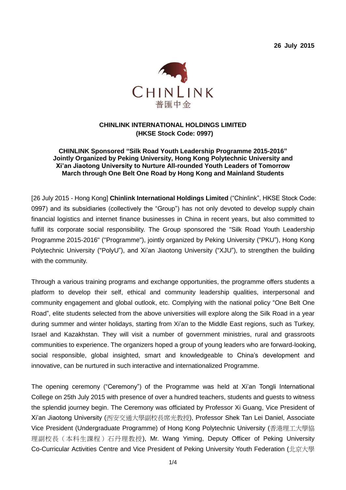**26 July 2015**



# **CHINLINK INTERNATIONAL HOLDINGS LIMITED (HKSE Stock Code: 0997)**

### **CHINLINK Sponsored "Silk Road Youth Leadership Programme 2015-2016" Jointly Organized by Peking University, Hong Kong Polytechnic University and Xi'an Jiaotong University to Nurture All-rounded Youth Leaders of Tomorrow March through One Belt One Road by Hong Kong and Mainland Students**

[26 July 2015 - Hong Kong] **Chinlink International Holdings Limited** ("Chinlink", HKSE Stock Code: 0997) and its subsidiaries (collectively the "Group") has not only devoted to develop supply chain financial logistics and internet finance businesses in China in recent years, but also committed to fulfill its corporate social responsibility. The Group sponsored the "Silk Road Youth Leadership Programme 2015-2016" ("Programme"), jointly organized by Peking University ("PKU"), Hong Kong Polytechnic University ("PolyU"), and Xi'an Jiaotong University ("XJU"), to strengthen the building with the community.

Through a various training programs and exchange opportunities, the programme offers students a platform to develop their self, ethical and community leadership qualities, interpersonal and community engagement and global outlook, etc. Complying with the national policy "One Belt One Road", elite students selected from the above universities will explore along the Silk Road in a year during summer and winter holidays, starting from Xi'an to the Middle East regions, such as Turkey, Israel and Kazakhstan. They will visit a number of government ministries, rural and grassroots communities to experience. The organizers hoped a group of young leaders who are forward-looking, social responsible, global insighted, smart and knowledgeable to China's development and innovative, can be nurtured in such interactive and internationalized Programme.

The opening ceremony ("Ceremony") of the Programme was held at Xi'an Tongli International College on 25th July 2015 with presence of over a hundred teachers, students and guests to witness the splendid journey begin. The Ceremony was officiated by Professor Xi Guang, Vice President of Xi'an Jiaotong University (西安交通大學副校長席光教授), Professor Shek Tan Lei Daniel, Associate Vice President (Undergraduate Programme) of Hong Kong Polytechnic University (香港理工大學協 理副校長(本科生課程)石丹理教授), Mr. Wang Yiming, Deputy Officer of Peking University Co-Curricular Activities Centre and Vice President of Peking University Youth Federation (北京大學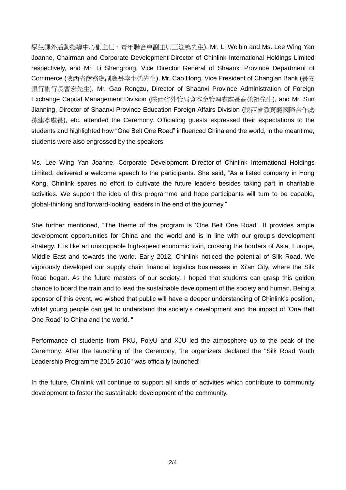學生課外活動指導中心副主任、青年聯合會副主席王逸鳴先生), Mr. Li Weibin and Ms. Lee Wing Yan Joanne, Chairman and Corporate Development Director of Chinlink International Holdings Limited respectively, and Mr. Li Shengrong, Vice Director General of Shaanxi Province Department of Commerce (陝西省商務廳副廳長李生榮先生), Mr. Cao Hong, Vice President of Chang'an Bank (長安 銀行副行長曹宏先生), Mr. Gao Rongzu, Director of Shaanxi Province Administration of Foreign Exchange Capital Management Division (陝西省外管局資本金管理處處長高榮祖先生), and Mr. Sun Jianning, Director of Shaanxi Province Education Foreign Affairs Division (陝西省教育廳國際合作處 孫建寧處長), etc. attended the Ceremony. Officiating guests expressed their expectations to the students and highlighted how "One Belt One Road" influenced China and the world, in the meantime, students were also engrossed by the speakers.

Ms. Lee Wing Yan Joanne, Corporate Development Director of Chinlink International Holdings Limited, delivered a welcome speech to the participants. She said, "As a listed company in Hong Kong, Chinlink spares no effort to cultivate the future leaders besides taking part in charitable activities. We support the idea of this programme and hope participants will turn to be capable, global-thinking and forward-looking leaders in the end of the journey."

She further mentioned, "The theme of the program is 'One Belt One Road'. It provides ample development opportunities for China and the world and is in line with our group's development strategy. It is like an unstoppable high-speed economic train, crossing the borders of Asia, Europe, Middle East and towards the world. Early 2012, Chinlink noticed the potential of Silk Road. We vigorously developed our supply chain financial logistics businesses in Xi'an City, where the Silk Road began. As the future masters of our society, I hoped that students can grasp this golden chance to board the train and to lead the sustainable development of the society and human. Being a sponsor of this event, we wished that public will have a deeper understanding of Chinlink's position, whilst young people can get to understand the society's development and the impact of 'One Belt One Road' to China and the world. "

Performance of students from PKU, PolyU and XJU led the atmosphere up to the peak of the Ceremony. After the launching of the Ceremony, the organizers declared the "Silk Road Youth Leadership Programme 2015-2016" was officially launched!

In the future, Chinlink will continue to support all kinds of activities which contribute to community development to foster the sustainable development of the community.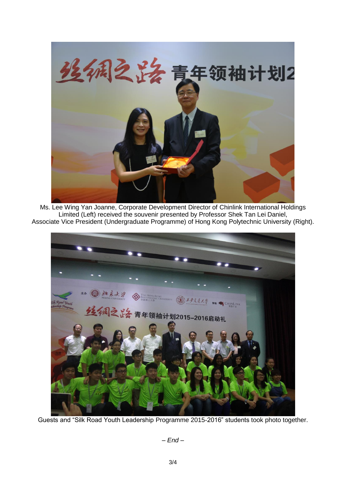

Ms. Lee Wing Yan Joanne, Corporate Development Director of Chinlink International Holdings Limited (Left) received the souvenir presented by Professor Shek Tan Lei Daniel, Associate Vice President (Undergraduate Programme) of Hong Kong Polytechnic University (Right).



Guests and "Silk Road Youth Leadership Programme 2015-2016" students took photo together.